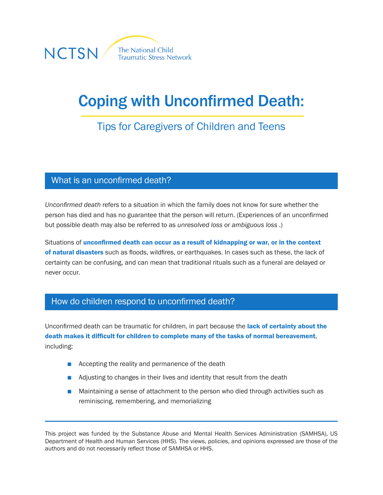

# Coping with Unconfirmed Death:

## Tips for Caregivers of Children and Teens

#### What is an unconfirmed death?

*Unconfirmed death* refers to a situation in which the family does not know for sure whether the person has died and has no guarantee that the person will return. (Experiences of an unconfirmed but possible death may also be referred to as *unresolved loss* or *ambiguous loss* .)

Situations of unconfirmed death can occur as a result of kidnapping or war, or in the context of natural disasters such as floods, wildfires, or earthquakes. In cases such as these, the lack of certainty can be confusing, and can mean that traditional rituals such as a funeral are delayed or never occur.

#### How do children respond to unconfirmed death?

Unconfirmed death can be traumatic for children, in part because the lack of certainty about the death makes it difficult for children to complete many of the tasks of normal bereavement, including:

- Accepting the reality and permanence of the death
- Adjusting to changes in their lives and identity that result from the death
- Maintaining a sense of attachment to the person who died through activities such as reminiscing, remembering, and memorializing

This project was funded by the Substance Abuse and Mental Health Services Administration (SAMHSA), US Department of Health and Human Services (HHS). The views, policies, and opinions expressed are those of the authors and do not necessarily reflect those of SAMHSA or HHS.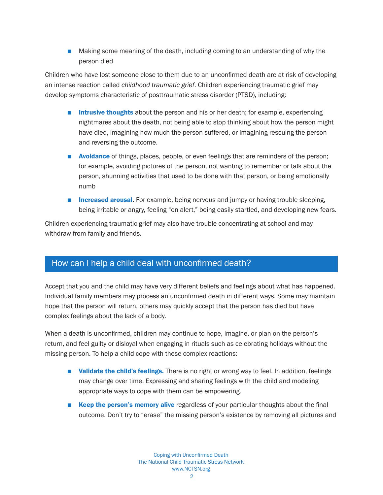■ Making some meaning of the death, including coming to an understanding of why the person died

Children who have lost someone close to them due to an unconfirmed death are at risk of developing an intense reaction called *childhood traumatic grief*. Children experiencing traumatic grief may develop symptoms characteristic of posttraumatic stress disorder (PTSD), including:

- Intrusive thoughts about the person and his or her death; for example, experiencing nightmares about the death, not being able to stop thinking about how the person might have died, imagining how much the person suffered, or imagining rescuing the person and reversing the outcome.
- **Avoidance** of things, places, people, or even feelings that are reminders of the person; for example, avoiding pictures of the person, not wanting to remember or talk about the person, shunning activities that used to be done with that person, or being emotionally numb
- **Increased arousal.** For example, being nervous and jumpy or having trouble sleeping, being irritable or angry, feeling "on alert," being easily startled, and developing new fears.

Children experiencing traumatic grief may also have trouble concentrating at school and may withdraw from family and friends.

#### How can I help a child deal with unconfirmed death?

Accept that you and the child may have very different beliefs and feelings about what has happened. Individual family members may process an unconfirmed death in different ways. Some may maintain hope that the person will return, others may quickly accept that the person has died but have complex feelings about the lack of a body.

When a death is unconfirmed, children may continue to hope, imagine, or plan on the person's return, and feel guilty or disloyal when engaging in rituals such as celebrating holidays without the missing person. To help a child cope with these complex reactions:

- Validate the child's feelings. There is no right or wrong way to feel. In addition, feelings may change over time. Expressing and sharing feelings with the child and modeling appropriate ways to cope with them can be empowering.
- Keep the person's memory alive regardless of your particular thoughts about the final outcome. Don't try to "erase" the missing person's existence by removing all pictures and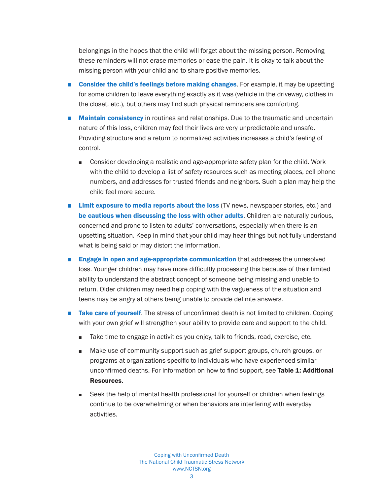belongings in the hopes that the child will forget about the missing person. Removing these reminders will not erase memories or ease the pain. It is okay to talk about the missing person with your child and to share positive memories.

- Consider the child's feelings before making changes. For example, it may be upsetting for some children to leave everything exactly as it was (vehicle in the driveway, clothes in the closet, etc.), but others may find such physical reminders are comforting.
- Maintain consistency in routines and relationships. Due to the traumatic and uncertain nature of this loss, children may feel their lives are very unpredictable and unsafe. Providing structure and a return to normalized activities increases a child's feeling of control.
	- Consider developing a realistic and age-appropriate safety plan for the child. Work with the child to develop a list of safety resources such as meeting places, cell phone numbers, and addresses for trusted friends and neighbors. Such a plan may help the child feel more secure.
- Limit exposure to media reports about the loss (TV news, newspaper stories, etc.) and be cautious when discussing the loss with other adults. Children are naturally curious, concerned and prone to listen to adults' conversations, especially when there is an upsetting situation. Keep in mind that your child may hear things but not fully understand what is being said or may distort the information.
- Engage in open and age-appropriate communication that addresses the unresolved loss. Younger children may have more difficultly processing this because of their limited ability to understand the abstract concept of someone being missing and unable to return. Older children may need help coping with the vagueness of the situation and teens may be angry at others being unable to provide definite answers.
- Take care of yourself. The stress of unconfirmed death is not limited to children. Coping with your own grief will strengthen your ability to provide care and support to the child.
	- Take time to engage in activities you enjoy, talk to friends, read, exercise, etc.
	- Make use of community support such as grief support groups, church groups, or programs at organizations specific to individuals who have experienced similar unconfirmed deaths. For information on how to find support, see Table 1: Additional Resources.
	- Seek the help of mental health professional for yourself or children when feelings continue to be overwhelming or when behaviors are interfering with everyday activities.